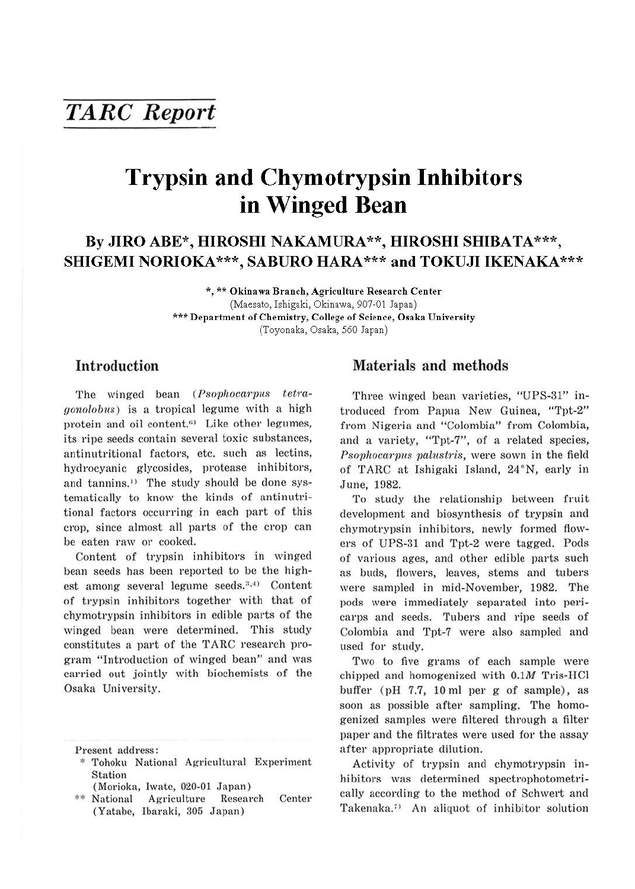# *TARC Report*

# **Trypsin and Chymotrypsin Inhibitors in Winged Bean**

# **By JIRO ABE\*, HIROSHI NAKAMURA\*\*, HIROSHI SHIBATA\*\*\*, SHIGEMI NORIOKA\*\*\*, SABURO HARA\*\*\* and TOKUJI IKENAKA\*\*\***

**\*,\*\*Okinawa Branch, Agriculture Research Center**  (Maesato, Ishigaki, Okinawa, 907-01 Japan) \*\*\* **Department of Chemistry, College of Science, Osaka University**  (Toyonaka, Osaka, 560 Japan)

## **Introduction**

The winged bean (Psophocarpus tetra*gonolobus*) is a tropical legume with a high protein and oil content.''' Like other legumes, its ripe seeds contain several toxic substances, antinutritional factors, etc. such as lectins, hydrocyanic glycosides, protease inhibitors, and tannins.<sup>1)</sup> The study should be done systematically to know the kinds of antinutritional factors occurring in each part of this crop, since almost all parts of the crop can be eaten raw or cooked.

Content of trypsin inhibitors in winged bean seeds has been reported to be the highest among several legume seeds.<sup>3,4)</sup> Content of trypsin inhibitors together with that of chymotrypsin inhibitors in edible parts of the winged bean were determined. This study constitutes a part of the TARC research program "Introduction of winged bean" and was carried out jointly with biochemists of the Osaka University.

- \* Tohoku National Agricultural Experiment Station
- 
- (Morioka, Iwate, 020-01 Japan)<br>\*\* National Agriculture Resear Agriculture Research Center (Yatabe, Ibaraki, 305 Japan)

### **Materials and methods**

Three winged bean varieties, "UPS-31" introduced from Papua New Guinea, "Tpt-2" from Nigeria and "Colombia" from Colombia, and a variety, "Tpt-7", of a related species, Psophocarpus palustris, were sown in the field of TARC at Ishigaki Island, 24°N, early in June, 1982.

To study the relationship between fruit development and biosynthesis of trypsin and chymotrypsin inhibitors, newly formed flowers of UPS-31 and Tpt-2 were tagged. Pods of various ages, and other edible parts such as buds, flowers, leaves, stems and tubers were sampled in mid-November, 1982. The pods were immediately separated into pericarps and seeds. Tubers and ripe seeds of Colombia and Tpt-7 were also sampled and used for study.

Two to five grams of each sample were chipped and homogenized with  $0.1M$  Tris-HCl buffer (pH  $7.7$ , 10 ml per g of sample), as soon as possible after sampling. The homogenized samples were filtered through a filter paper and the filtrates were used for the assay after appropriate dilution.

Activity of trypsin and chymotrypsin inhibitors was determined spectrophotometrically according to the method of Schwert and Takenaka.<sup>7)</sup> An aliquot of inhibitor solution

Present address: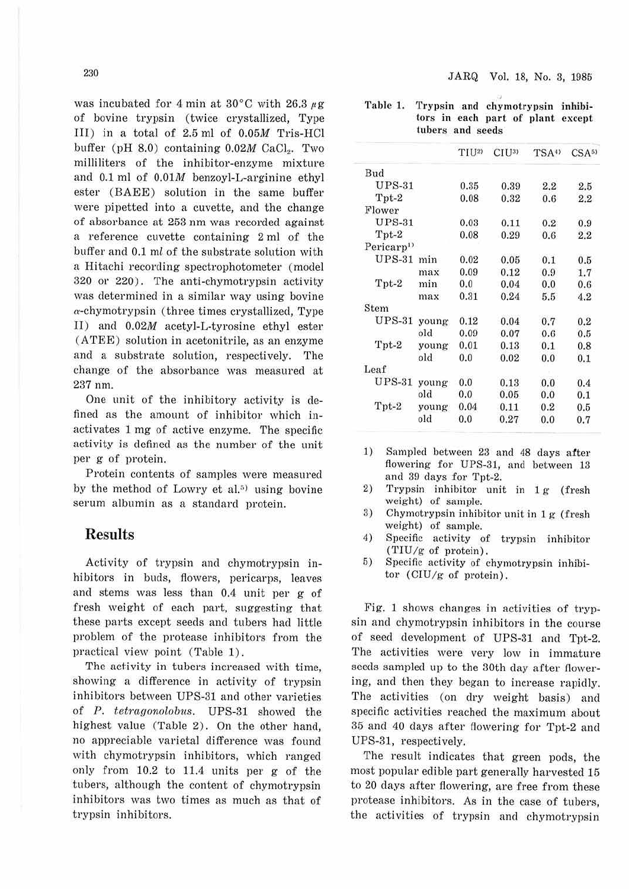was incubated for 4 min at 30 $^{\circ}$ C with 26.3  $\mu$ g of bovine trypsin ( twice crystallized, Type III) in a total of 2.5 ml of 0.05M Tris-HCl buffer (pH  $8.0$ ) containing  $0.02M$  CaCl,. Two milliliters of the inhibitor-enzyme mixture and 0.1 ml of 0.0lM benzoyl-L-arginine ethyl ester (BAEE) solution in the same buffer were pipetted into a cuvette, and the change of absorbance at 253 nm was recorded against a reference cuvette containing 2 ml of the buffer and 0.1 ml of the substrate solution with a Hitachi recording spectrophotometer (model 320 01· 220) . The anti-chymotrypsin activity was determined in a similar way using bovine  $\alpha$ -chymotrypsin (three times crystallized, Type II) and 0.02M acetyl-L-tyrosine ethyl ester (ATEE) solution in acetonitrile, as an enzyme and a substrate solution, respectively. The change of the absorbance was measured at 237 nm.

One unit of the inhibitory activity is defined as the amount of inhibitor which inactivates 1 mg of active enzyme. The specific activity is defined as the number of the unit per g of protein.

Protein contents of samples were measured by the method of Lowry et al.<sup>5)</sup> using bovine serum albumin as a standard protein.

#### **Results**

Activity of trypsin and chymotrypsin inhibitors in buds, flowers, pericarps, leaves and stems was less than 0.4 unit per g of fresh weight of each part, suggesting that these parts except seeds and tubers had little problem of the protease inhibitors from the practical view point (Table 1).

The activity in tubers increased with time, showing a difference in activity of trypsin inhibitors between UPS-31 and other varieties of *P. tetrcigonolobus.* UPS-31 showed the highest value (Table 2). On the other hand, no appreciable varietal difference was found with chymotrypsin inhibitors, which ranged only from 10.2 to 11.4 units per g of the tubers, although the content of chymotrypsin inhibitors was two times as much as that of trypsin inhibitors.

Table 1. Trypsin and chymotrypsin inhibitors in each part of plant except tubers and seeds

|                        |       | TIU <sub>2</sub> | C <sub>I</sub> U <sub>3</sub> | TSA <sup>0</sup> | $CSA^{5}$ |
|------------------------|-------|------------------|-------------------------------|------------------|-----------|
| Bud                    |       |                  |                               |                  |           |
| $UPS-31$               |       | 0.35             | 0.39                          | 2.2              | 2.5       |
| Tpt-2                  |       | 0.08             | 0.32                          | 0.6              | 2.2       |
| Flower                 |       |                  |                               |                  |           |
| $UPS-31$               |       | 0.03             | 0.11                          | 0.2              | 0.9       |
| $Tpt-2$                |       | 0.08             | 0.29                          | 0.6              | 2.2       |
| Pericarp <sup>1)</sup> |       |                  |                               |                  |           |
| $UPS-31$               | min   | 0.02             | 0.05                          | 0.1              | 0.5       |
|                        | max   | 0.09             | 0.12                          | 0.9              | 1.7       |
| Tpt-2                  | min   | $_{0.0}$         | 0.04                          | 0.0              | 0.6       |
|                        | max   | 0.31             | 0.24                          | 5.5              | 4.2       |
| Stem                   |       |                  |                               |                  |           |
| $UPS-31$               | young | 0.12             | 0.04                          | 0.7              | 0.2       |
|                        | old   | 0.09             | 0.07                          | 0.6              | 0.5       |
| Tpt-2                  | young | 0.01             | 0.13                          | 0.1              | 0.8       |
|                        | old   | 0.0              | 0.02                          | 0.0              | 0.1       |
| Leaf                   |       |                  |                               |                  |           |
| $UPS-31$               | young | 0.0              | 0.13                          | 0.0              | 0.4       |
|                        | old   | 0.0              | 0.05                          | 0.0              | 0.1       |
| Tpt-2                  | young | 0.04             | 0.11                          | 0.2              | 0.5       |
|                        | old   | 0.0              | 0.27                          | 0.0              | 0.7       |
|                        |       |                  |                               |                  |           |

- 1) Sampled between 23 and 48 days after flowering for UPS-31, and between 13 and 39 days for Tpt-2.
- 2) Trypsin inhibitor unit in 1g (fresh weight) of sample.
- 3) Chymotrypsin inhibitor unit in 1 g (fresh weight) of sample.
- 4) Specific activity of trypsin inhibitor  $(TIU/g of protein)$ .
- 5) Specific activity of chymotrypsin inhibitor  $\left( \text{CIU/g of protein} \right)$ .

Fig. 1 shows changes in activities of trypsin and chymotrypsin inhibitors in the course of seed development of UPS-31 and Tpt-2. The activities were very low in immature seeds sampled up to the 30th day after flowering, and then they began to increase rapidly. The activities (on dry weight basis) and specific activities reached the maximum about 35 and 40 days after flowering for Tpt-2 and UPS-31, respectively.

The result indicates that green pods, the most popular edible part generally harvested 15 to 20 days after flowering, are free from these protease inhibitors. As in the case of tubers, the activities of trypsin and chymotrypsin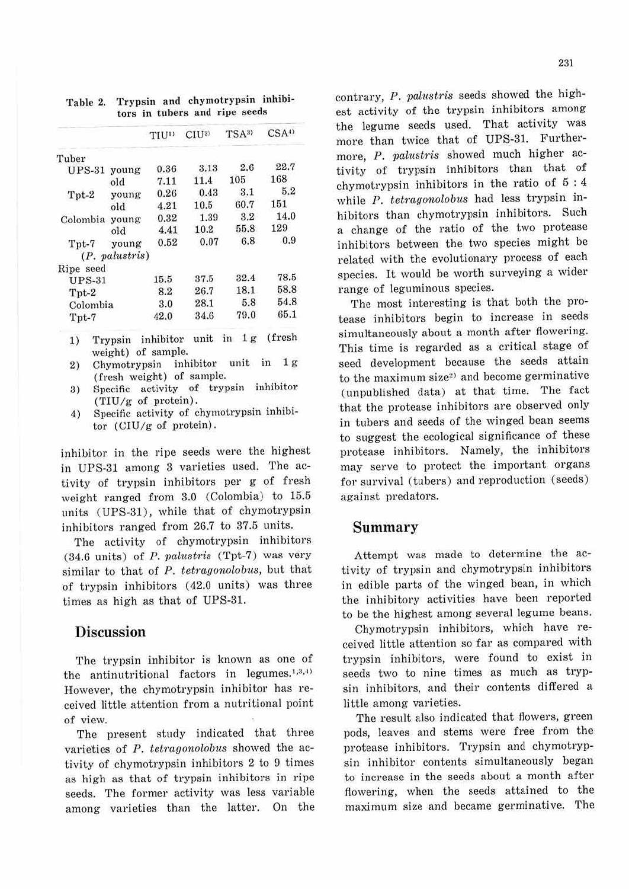|                |                  | TIUD | C <sub>I</sub> U <sub>2</sub> | TSA <sup>3</sup> | CSA <sup>4</sup> |
|----------------|------------------|------|-------------------------------|------------------|------------------|
| Tuber          |                  |      |                               |                  |                  |
| $UPS-31$ young |                  | 0.36 | 3.13                          | 2.6              | 22.7             |
|                | old              | 7.11 | 11.4                          | 105              | 168              |
| Tpt-2          | young            | 0.26 | 0.43                          | 3.1              | 5.2              |
|                | old              | 4.21 | 10.5                          | 60.7             | 151              |
| Colombia young |                  | 0.32 | 1.39                          | 3.2              | 14.0             |
|                | old              | 4.41 | 10.2                          | 55.8             | 129              |
| $Tpt-7$        | young            | 0.52 | 0.07                          | 6.8              | 0.9              |
|                | $(P.$ palustris) |      |                               |                  |                  |
| Ripe seed      |                  |      |                               |                  |                  |
| $UPS-31$       |                  | 15.5 | 37.5                          | 32.4             | 78.5             |
| $Tpt-2$        |                  | 8.2  | 26.7                          | 18.1             | 58.8             |
| Colombia       |                  | 3.0  | 28.1                          | 5.8              | 54.8             |
| Tpt-7          |                  | 42.0 | 34.6                          | 79.0             | 65.1             |

Table 2. Trypsin and chymotrypsin inhibitors in tubers and ripe seeds

1) Trypsin inhibitor unit in 1 g (fresh weight) of sample.

- 2) Chymotrypsin inhibitor unit in 1 g (fresh weight) of sample.
- 3) Specific activity of trypsin inhibitor  $(TIU/g$  of protein).
- ,1) Specific activity of ehymotrypsin inhibitor (CIU/g of protein) .

inhibitor in the ripe seeds were the highest in UPS-31 among 3 varieties used. The activity of trypsin inhibitors per g of fresh weight ranged from 3.0 (Colombia) to 15.5 units (UPS-31), while that of chymotrypsin inhibitors ranged from 26.7 to 37.5 units.

The activity of chymotrypsin inhibitors (34.6 units) of *P. valustris* (Tpt-7 ) was very similar to that of *P. tetragonolobus,* but that of trypsin inhibitors (42.0 units) was three times as high as that of UPS-31.

### **Discussion**

The trypsin inhibitor is known as one of the antinutritional factors in legumes.<sup>1,3,4)</sup> However, the chymotrypsin inhibitor has received little attention from a nutritional point of view.

The present study indicated that three varieties of *P. tetragonolobus* showed the activity of chymotrypsin inhibitors 2 to 9 times as high as that of trypsin inhibitors in ripe seeds. The former activity was Jess variable among varieties than the latter. On the contrary, *P. valustris* seeds showed the highest activity of the trypsin inhibitors among the legume seeds used. That activity was more than twice that of UPS-31. Furthermore, P. *palustris* showed much higher activity of trypsin inhibitors than that of chymotrypsin inhibitors in the ratio of 5 : 4 while P. *tetragonolobus* had less trypsin inhibitors than chymotrypsin inhibitors. Such a change of the ratio of the two protease inhibitors between the two species might be related with the evolutionary process of each species. It would be worth surveying a wider range of leguminous species.

The most interesting is that both the protease inhibitors begin to increase in seeds simultaneously about a month after flowering. This time is regarded as a critical stage of seed development because the seeds attain to the maximum size<sup>2)</sup> and become germinative (unpublished data) at that time. The fact that the protease inhibitors are observed only in tubers and seeds of the winged bean seems to suggest the ecological significance of these protease inhibitors. Namely, the inhibitors may serve to protect the important organs for survival (tubers) and reproduction (seeds) against predators.

#### **Summary**

Attempt was made to determine the activity of trypsin and chymotrypsin inhibitors in edible parts of the winged bean, in which the inhibitory activities have been reported to be the highest among several legume beans.

Chymotrypsin inhibitors, which have received little attention so far as compared with trypsin inhibitors, were found to exist in seeds two to nine times as much as trypsin inhibitors, and their contents differed a little among varieties.

The result also indicated that flowers, green pods, leaves and stems were free from the protease inhibitors. Trypsin and chymotrypsin inhibitor contents simultaneously began to increase in the seeds about a month after flowering, when the seeds attained to the maximum size and became germinative. The